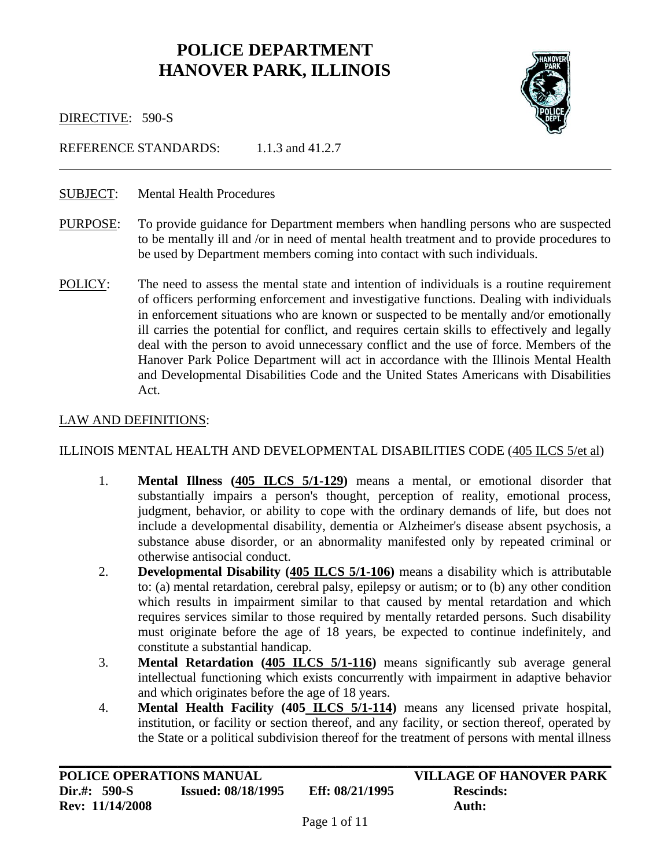# **POLICE DEPARTMENT HANOVER PARK, ILLINOIS**



i<br>L

DIRECTIVE: 590-S

REFERENCE STANDARDS: 1.1.3 and 41.2.7

### SUBJECT: Mental Health Procedures

- PURPOSE: To provide guidance for Department members when handling persons who are suspected to be mentally ill and /or in need of mental health treatment and to provide procedures to be used by Department members coming into contact with such individuals.
- POLICY: The need to assess the mental state and intention of individuals is a routine requirement of officers performing enforcement and investigative functions. Dealing with individuals in enforcement situations who are known or suspected to be mentally and/or emotionally ill carries the potential for conflict, and requires certain skills to effectively and legally deal with the person to avoid unnecessary conflict and the use of force. Members of the Hanover Park Police Department will act in accordance with the Illinois Mental Health and Developmental Disabilities Code and the United States Americans with Disabilities Act.

#### LAW AND DEFINITIONS:

#### ILLINOIS MENTAL HEALTH AND DEVELOPMENTAL DISABILITIES CODE (405 ILCS 5/et al)

- 1. **Mental Illness (405 ILCS 5/1-129)** means a mental, or emotional disorder that substantially impairs a person's thought, perception of reality, emotional process, judgment, behavior, or ability to cope with the ordinary demands of life, but does not include a developmental disability, dementia or Alzheimer's disease absent psychosis, a substance abuse disorder, or an abnormality manifested only by repeated criminal or otherwise antisocial conduct.
- 2. **Developmental Disability (405 ILCS 5/1-106)** means a disability which is attributable to: (a) mental retardation, cerebral palsy, epilepsy or autism; or to (b) any other condition which results in impairment similar to that caused by mental retardation and which requires services similar to those required by mentally retarded persons. Such disability must originate before the age of 18 years, be expected to continue indefinitely, and constitute a substantial handicap.
- 3. **Mental Retardation (405 ILCS 5/1-116)** means significantly sub average general intellectual functioning which exists concurrently with impairment in adaptive behavior and which originates before the age of 18 years.
- 4. **Mental Health Facility (405 ILCS 5/1-114)** means any licensed private hospital, institution, or facility or section thereof, and any facility, or section thereof, operated by the State or a political subdivision thereof for the treatment of persons with mental illness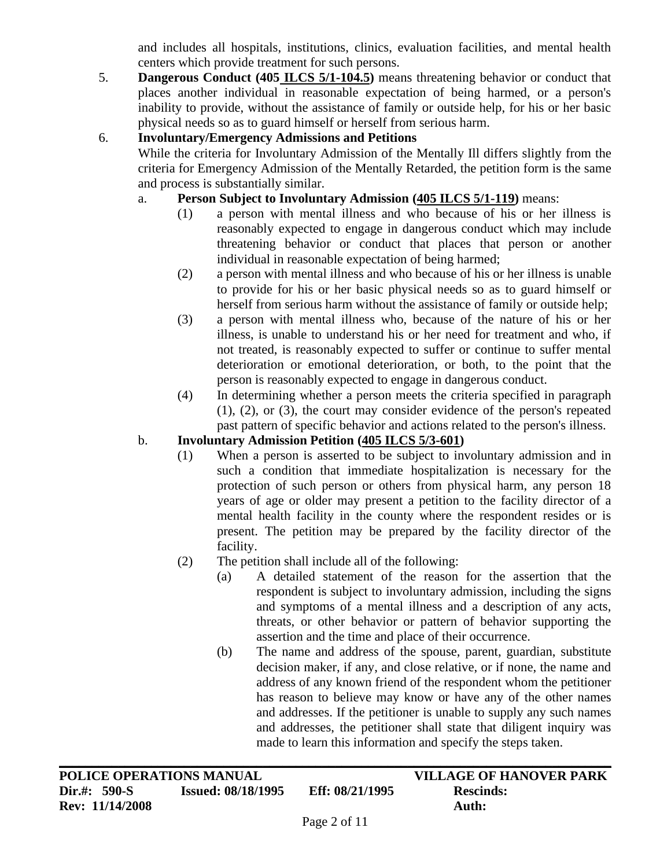and includes all hospitals, institutions, clinics, evaluation facilities, and mental health centers which provide treatment for such persons.

5. **Dangerous Conduct (405 ILCS 5/1-104.5)** means threatening behavior or conduct that places another individual in reasonable expectation of being harmed, or a person's inability to provide, without the assistance of family or outside help, for his or her basic physical needs so as to guard himself or herself from serious harm.

# 6. **Involuntary/Emergency Admissions and Petitions**

While the criteria for Involuntary Admission of the Mentally Ill differs slightly from the criteria for Emergency Admission of the Mentally Retarded, the petition form is the same and process is substantially similar.

### a. **Person Subject to Involuntary Admission (405 ILCS 5/1-119)** means:

- (1) a person with mental illness and who because of his or her illness is reasonably expected to engage in dangerous conduct which may include threatening behavior or conduct that places that person or another individual in reasonable expectation of being harmed;
- (2) a person with mental illness and who because of his or her illness is unable to provide for his or her basic physical needs so as to guard himself or herself from serious harm without the assistance of family or outside help;
- (3) a person with mental illness who, because of the nature of his or her illness, is unable to understand his or her need for treatment and who, if not treated, is reasonably expected to suffer or continue to suffer mental deterioration or emotional deterioration, or both, to the point that the person is reasonably expected to engage in dangerous conduct.
- (4) In determining whether a person meets the criteria specified in paragraph (1), (2), or (3), the court may consider evidence of the person's repeated past pattern of specific behavior and actions related to the person's illness.

## b. **Involuntary Admission Petition (405 ILCS 5/3-601)**

- (1) When a person is asserted to be subject to involuntary admission and in such a condition that immediate hospitalization is necessary for the protection of such person or others from physical harm, any person 18 years of age or older may present a petition to the facility director of a mental health facility in the county where the respondent resides or is present. The petition may be prepared by the facility director of the facility.
- (2) The petition shall include all of the following:
	- (a) A detailed statement of the reason for the assertion that the respondent is subject to involuntary admission, including the signs and symptoms of a mental illness and a description of any acts, threats, or other behavior or pattern of behavior supporting the assertion and the time and place of their occurrence.
	- (b) The name and address of the spouse, parent, guardian, substitute decision maker, if any, and close relative, or if none, the name and address of any known friend of the respondent whom the petitioner has reason to believe may know or have any of the other names and addresses. If the petitioner is unable to supply any such names and addresses, the petitioner shall state that diligent inquiry was made to learn this information and specify the steps taken.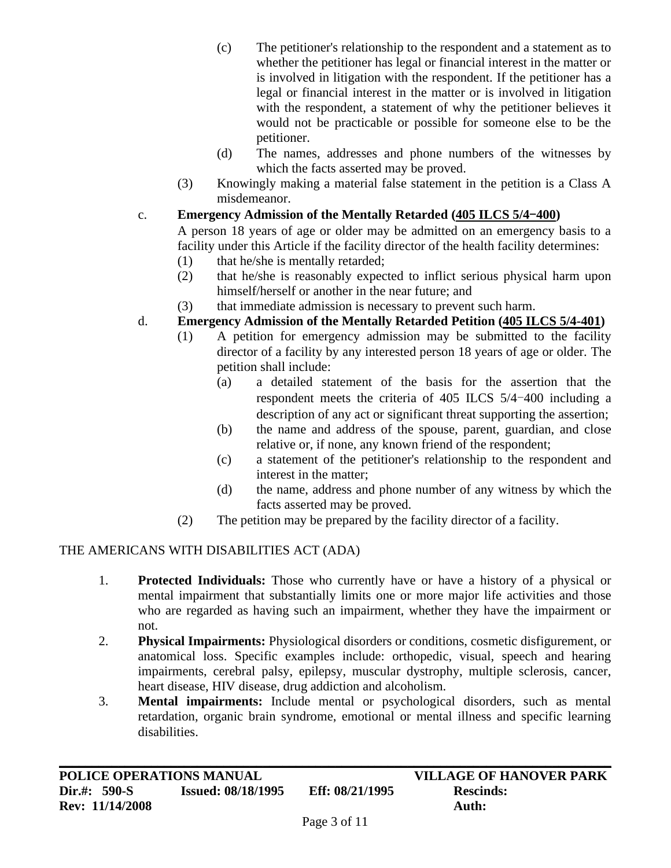- (c) The petitioner's relationship to the respondent and a statement as to whether the petitioner has legal or financial interest in the matter or is involved in litigation with the respondent. If the petitioner has a legal or financial interest in the matter or is involved in litigation with the respondent, a statement of why the petitioner believes it would not be practicable or possible for someone else to be the petitioner.
- (d) The names, addresses and phone numbers of the witnesses by which the facts asserted may be proved.
- (3) Knowingly making a material false statement in the petition is a Class A misdemeanor.
- c. **Emergency Admission of the Mentally Retarded (405 ILCS 5/4**-**400)**

A person 18 years of age or older may be admitted on an emergency basis to a facility under this Article if the facility director of the health facility determines:

- (1) that he/she is mentally retarded;
- (2) that he/she is reasonably expected to inflict serious physical harm upon himself/herself or another in the near future; and
- (3) that immediate admission is necessary to prevent such harm.

# d. **Emergency Admission of the Mentally Retarded Petition (405 ILCS 5/4-401)**

- (1) A petition for emergency admission may be submitted to the facility director of a facility by any interested person 18 years of age or older. The petition shall include:
	- (a) a detailed statement of the basis for the assertion that the respondent meets the criteria of 405 ILCS 5/4-400 including a description of any act or significant threat supporting the assertion;
	- (b) the name and address of the spouse, parent, guardian, and close relative or, if none, any known friend of the respondent;
	- (c) a statement of the petitioner's relationship to the respondent and interest in the matter;
	- (d) the name, address and phone number of any witness by which the facts asserted may be proved.
- (2) The petition may be prepared by the facility director of a facility.

# THE AMERICANS WITH DISABILITIES ACT (ADA)

- 1. **Protected Individuals:** Those who currently have or have a history of a physical or mental impairment that substantially limits one or more major life activities and those who are regarded as having such an impairment, whether they have the impairment or not.
- 2. **Physical Impairments:** Physiological disorders or conditions, cosmetic disfigurement, or anatomical loss. Specific examples include: orthopedic, visual, speech and hearing impairments, cerebral palsy, epilepsy, muscular dystrophy, multiple sclerosis, cancer, heart disease, HIV disease, drug addiction and alcoholism.
- 3. **Mental impairments:** Include mental or psychological disorders, such as mental retardation, organic brain syndrome, emotional or mental illness and specific learning disabilities.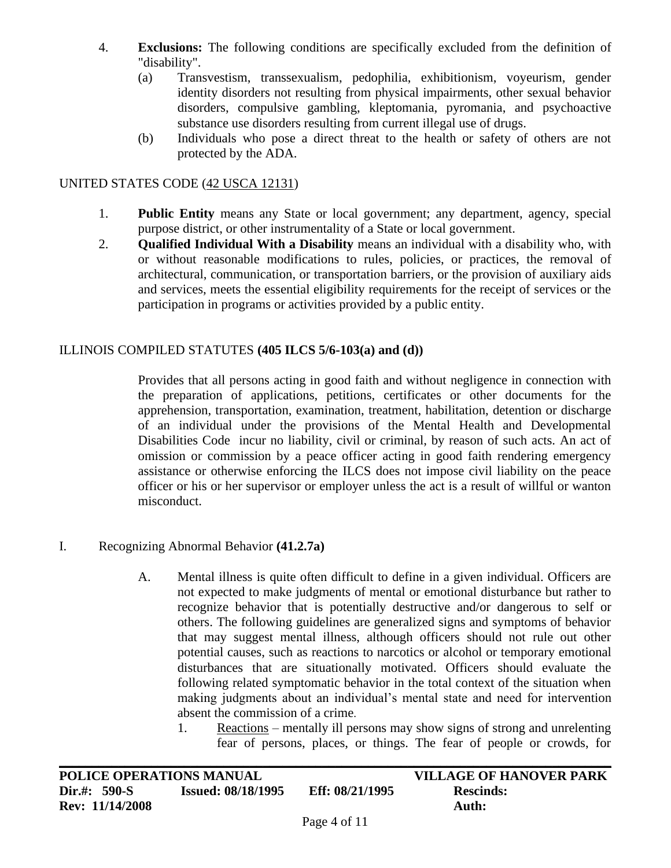- 4. **Exclusions:** The following conditions are specifically excluded from the definition of "disability".
	- (a) Transvestism, transsexualism, pedophilia, exhibitionism, voyeurism, gender identity disorders not resulting from physical impairments, other sexual behavior disorders, compulsive gambling, kleptomania, pyromania, and psychoactive substance use disorders resulting from current illegal use of drugs.
	- (b) Individuals who pose a direct threat to the health or safety of others are not protected by the ADA.

### UNITED STATES CODE (42 USCA 12131)

- 1. **Public Entity** means any State or local government; any department, agency, special purpose district, or other instrumentality of a State or local government.
- 2. **Qualified Individual With a Disability** means an individual with a disability who, with or without reasonable modifications to rules, policies, or practices, the removal of architectural, communication, or transportation barriers, or the provision of auxiliary aids and services, meets the essential eligibility requirements for the receipt of services or the participation in programs or activities provided by a public entity.

### ILLINOIS COMPILED STATUTES **(405 ILCS 5/6-103(a) and (d))**

Provides that all persons acting in good faith and without negligence in connection with the preparation of applications, petitions, certificates or other documents for the apprehension, transportation, examination, treatment, habilitation, detention or discharge of an individual under the provisions of the Mental Health and Developmental Disabilities Code incur no liability, civil or criminal, by reason of such acts. An act of omission or commission by a peace officer acting in good faith rendering emergency assistance or otherwise enforcing the ILCS does not impose civil liability on the peace officer or his or her supervisor or employer unless the act is a result of willful or wanton misconduct.

### I. Recognizing Abnormal Behavior **(41.2.7a)**

- A. Mental illness is quite often difficult to define in a given individual. Officers are not expected to make judgments of mental or emotional disturbance but rather to recognize behavior that is potentially destructive and/or dangerous to self or others. The following guidelines are generalized signs and symptoms of behavior that may suggest mental illness, although officers should not rule out other potential causes, such as reactions to narcotics or alcohol or temporary emotional disturbances that are situationally motivated. Officers should evaluate the following related symptomatic behavior in the total context of the situation when making judgments about an individual's mental state and need for intervention absent the commission of a crime.
	- 1. Reactions mentally ill persons may show signs of strong and unrelenting fear of persons, places, or things. The fear of people or crowds, for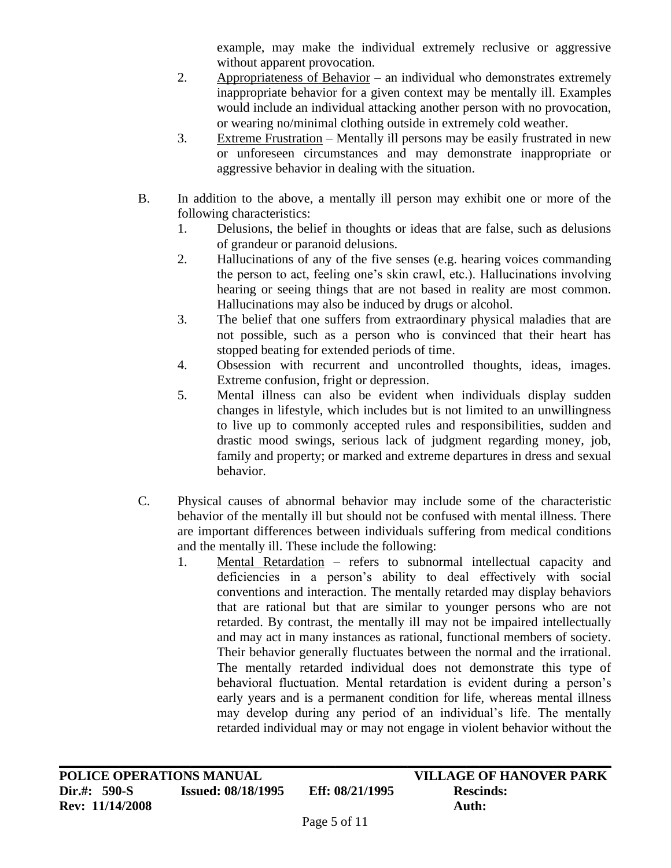example, may make the individual extremely reclusive or aggressive without apparent provocation.

- 2. Appropriateness of Behavior an individual who demonstrates extremely inappropriate behavior for a given context may be mentally ill. Examples would include an individual attacking another person with no provocation, or wearing no/minimal clothing outside in extremely cold weather.
- 3. Extreme Frustration Mentally ill persons may be easily frustrated in new or unforeseen circumstances and may demonstrate inappropriate or aggressive behavior in dealing with the situation.
- B. In addition to the above, a mentally ill person may exhibit one or more of the following characteristics:
	- 1. Delusions, the belief in thoughts or ideas that are false, such as delusions of grandeur or paranoid delusions.
	- 2. Hallucinations of any of the five senses (e.g. hearing voices commanding the person to act, feeling one's skin crawl, etc.). Hallucinations involving hearing or seeing things that are not based in reality are most common. Hallucinations may also be induced by drugs or alcohol.
	- 3. The belief that one suffers from extraordinary physical maladies that are not possible, such as a person who is convinced that their heart has stopped beating for extended periods of time.
	- 4. Obsession with recurrent and uncontrolled thoughts, ideas, images. Extreme confusion, fright or depression.
	- 5. Mental illness can also be evident when individuals display sudden changes in lifestyle, which includes but is not limited to an unwillingness to live up to commonly accepted rules and responsibilities, sudden and drastic mood swings, serious lack of judgment regarding money, job, family and property; or marked and extreme departures in dress and sexual behavior.
- C. Physical causes of abnormal behavior may include some of the characteristic behavior of the mentally ill but should not be confused with mental illness. There are important differences between individuals suffering from medical conditions and the mentally ill. These include the following:
	- 1. Mental Retardation refers to subnormal intellectual capacity and deficiencies in a person's ability to deal effectively with social conventions and interaction. The mentally retarded may display behaviors that are rational but that are similar to younger persons who are not retarded. By contrast, the mentally ill may not be impaired intellectually and may act in many instances as rational, functional members of society. Their behavior generally fluctuates between the normal and the irrational. The mentally retarded individual does not demonstrate this type of behavioral fluctuation. Mental retardation is evident during a person's early years and is a permanent condition for life, whereas mental illness may develop during any period of an individual's life. The mentally retarded individual may or may not engage in violent behavior without the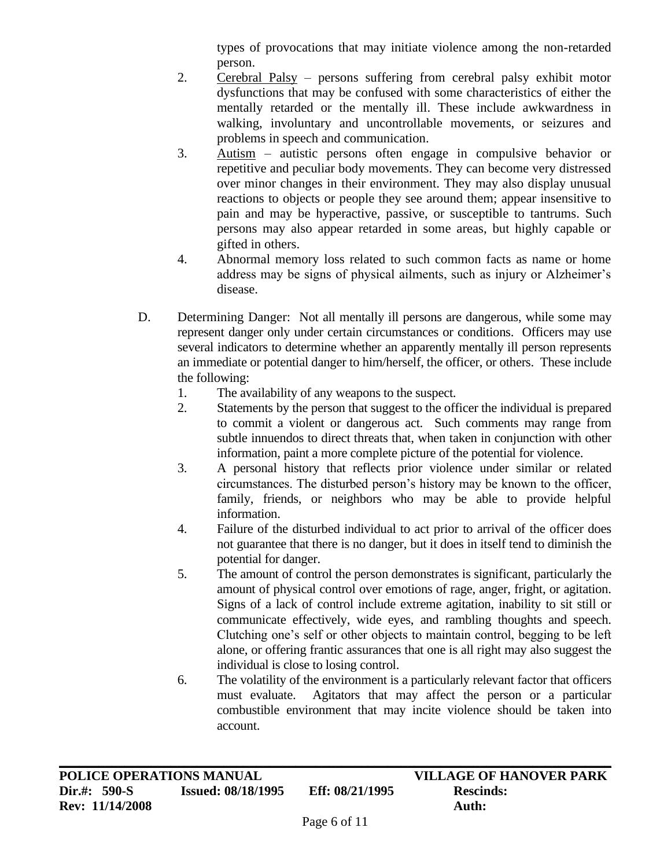types of provocations that may initiate violence among the non-retarded person.

- 2. Cerebral Palsy persons suffering from cerebral palsy exhibit motor dysfunctions that may be confused with some characteristics of either the mentally retarded or the mentally ill. These include awkwardness in walking, involuntary and uncontrollable movements, or seizures and problems in speech and communication.
- 3. Autism autistic persons often engage in compulsive behavior or repetitive and peculiar body movements. They can become very distressed over minor changes in their environment. They may also display unusual reactions to objects or people they see around them; appear insensitive to pain and may be hyperactive, passive, or susceptible to tantrums. Such persons may also appear retarded in some areas, but highly capable or gifted in others.
- 4. Abnormal memory loss related to such common facts as name or home address may be signs of physical ailments, such as injury or Alzheimer's disease.
- D. Determining Danger: Not all mentally ill persons are dangerous, while some may represent danger only under certain circumstances or conditions. Officers may use several indicators to determine whether an apparently mentally ill person represents an immediate or potential danger to him/herself, the officer, or others. These include the following:
	- 1. The availability of any weapons to the suspect.
	- 2. Statements by the person that suggest to the officer the individual is prepared to commit a violent or dangerous act. Such comments may range from subtle innuendos to direct threats that, when taken in conjunction with other information, paint a more complete picture of the potential for violence.
	- 3. A personal history that reflects prior violence under similar or related circumstances. The disturbed person's history may be known to the officer, family, friends, or neighbors who may be able to provide helpful information.
	- 4. Failure of the disturbed individual to act prior to arrival of the officer does not guarantee that there is no danger, but it does in itself tend to diminish the potential for danger.
	- 5. The amount of control the person demonstrates is significant, particularly the amount of physical control over emotions of rage, anger, fright, or agitation. Signs of a lack of control include extreme agitation, inability to sit still or communicate effectively, wide eyes, and rambling thoughts and speech. Clutching one's self or other objects to maintain control, begging to be left alone, or offering frantic assurances that one is all right may also suggest the individual is close to losing control.
	- 6. The volatility of the environment is a particularly relevant factor that officers must evaluate. Agitators that may affect the person or a particular combustible environment that may incite violence should be taken into account.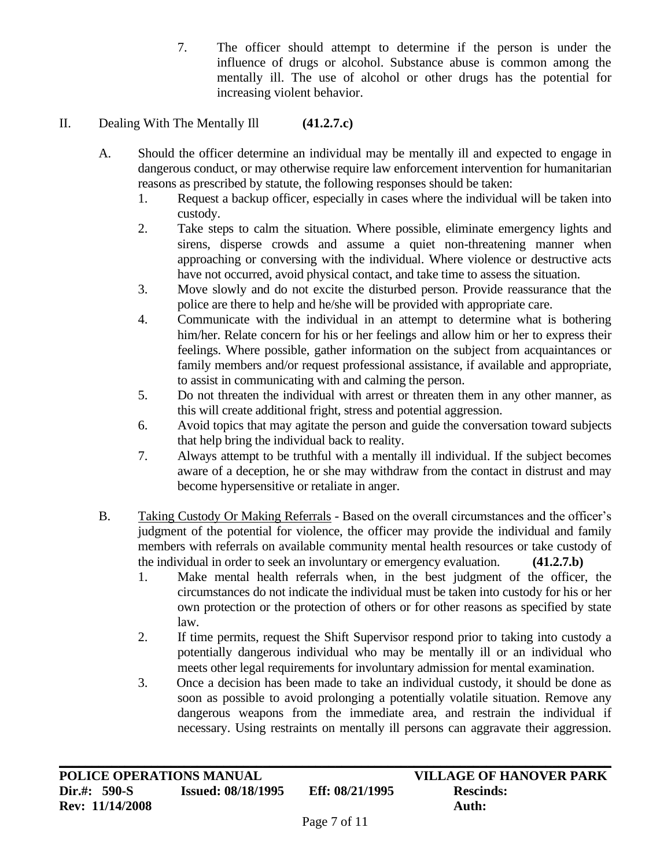7. The officer should attempt to determine if the person is under the influence of drugs or alcohol. Substance abuse is common among the mentally ill. The use of alcohol or other drugs has the potential for increasing violent behavior.

# II. Dealing With The Mentally Ill **(41.2.7.c)**

- A. Should the officer determine an individual may be mentally ill and expected to engage in dangerous conduct, or may otherwise require law enforcement intervention for humanitarian reasons as prescribed by statute, the following responses should be taken:
	- 1. Request a backup officer, especially in cases where the individual will be taken into custody.
	- 2. Take steps to calm the situation. Where possible, eliminate emergency lights and sirens, disperse crowds and assume a quiet non-threatening manner when approaching or conversing with the individual. Where violence or destructive acts have not occurred, avoid physical contact, and take time to assess the situation.
	- 3. Move slowly and do not excite the disturbed person. Provide reassurance that the police are there to help and he/she will be provided with appropriate care.
	- 4. Communicate with the individual in an attempt to determine what is bothering him/her. Relate concern for his or her feelings and allow him or her to express their feelings. Where possible, gather information on the subject from acquaintances or family members and/or request professional assistance, if available and appropriate, to assist in communicating with and calming the person.
	- 5. Do not threaten the individual with arrest or threaten them in any other manner, as this will create additional fright, stress and potential aggression.
	- 6. Avoid topics that may agitate the person and guide the conversation toward subjects that help bring the individual back to reality.
	- 7. Always attempt to be truthful with a mentally ill individual. If the subject becomes aware of a deception, he or she may withdraw from the contact in distrust and may become hypersensitive or retaliate in anger.
- B. Taking Custody Or Making Referrals Based on the overall circumstances and the officer's judgment of the potential for violence, the officer may provide the individual and family members with referrals on available community mental health resources or take custody of the individual in order to seek an involuntary or emergency evaluation. **(41.2.7.b)**
	- 1. Make mental health referrals when, in the best judgment of the officer, the circumstances do not indicate the individual must be taken into custody for his or her own protection or the protection of others or for other reasons as specified by state law.
	- 2. If time permits, request the Shift Supervisor respond prior to taking into custody a potentially dangerous individual who may be mentally ill or an individual who meets other legal requirements for involuntary admission for mental examination.
	- 3. Once a decision has been made to take an individual custody, it should be done as soon as possible to avoid prolonging a potentially volatile situation. Remove any dangerous weapons from the immediate area, and restrain the individual if necessary. Using restraints on mentally ill persons can aggravate their aggression.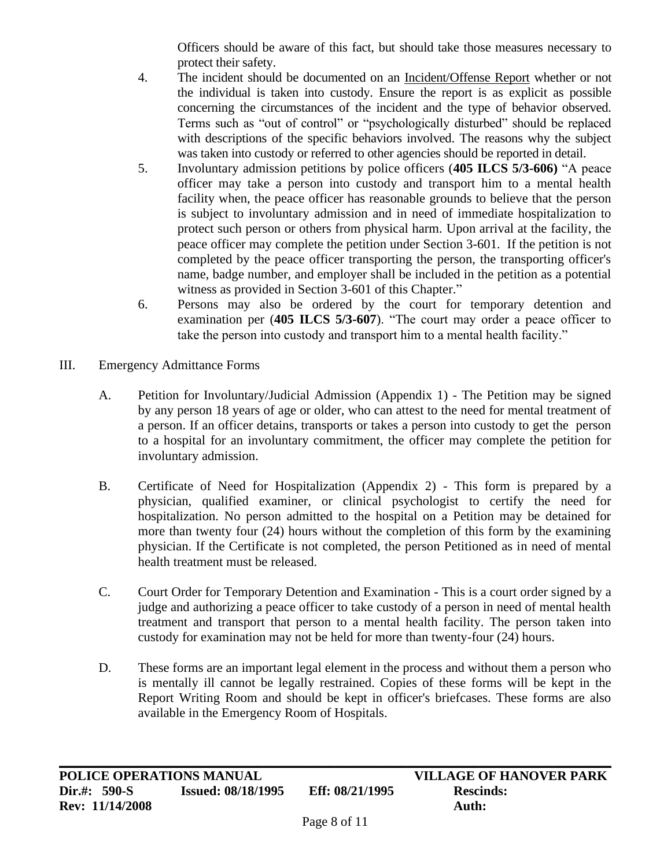Officers should be aware of this fact, but should take those measures necessary to protect their safety.

- 4. The incident should be documented on an Incident/Offense Report whether or not the individual is taken into custody. Ensure the report is as explicit as possible concerning the circumstances of the incident and the type of behavior observed*.* Terms such as "out of control" or "psychologically disturbed" should be replaced with descriptions of the specific behaviors involved. The reasons why the subject was taken into custody or referred to other agencies should be reported in detail.
- 5. Involuntary admission petitions by police officers (**405 ILCS 5/3-606)** "A peace officer may take a person into custody and transport him to a mental health facility when, the peace officer has reasonable grounds to believe that the person is subject to involuntary admission and in need of immediate hospitalization to protect such person or others from physical harm. Upon arrival at the facility, the peace officer may complete the petition under Section 3-601. If the petition is not completed by the peace officer transporting the person, the transporting officer's name, badge number, and employer shall be included in the petition as a potential witness as provided in Section 3-601 of this Chapter."
- 6. Persons may also be ordered by the court for temporary detention and examination per (**405 ILCS 5/3-607**). "The court may order a peace officer to take the person into custody and transport him to a mental health facility."
- III. Emergency Admittance Forms
	- A. Petition for Involuntary/Judicial Admission (Appendix 1) The Petition may be signed by any person 18 years of age or older, who can attest to the need for mental treatment of a person. If an officer detains, transports or takes a person into custody to get the person to a hospital for an involuntary commitment, the officer may complete the petition for involuntary admission.
	- B. Certificate of Need for Hospitalization (Appendix 2) This form is prepared by a physician, qualified examiner, or clinical psychologist to certify the need for hospitalization. No person admitted to the hospital on a Petition may be detained for more than twenty four (24) hours without the completion of this form by the examining physician. If the Certificate is not completed, the person Petitioned as in need of mental health treatment must be released.
	- C. Court Order for Temporary Detention and Examination This is a court order signed by a judge and authorizing a peace officer to take custody of a person in need of mental health treatment and transport that person to a mental health facility. The person taken into custody for examination may not be held for more than twenty-four (24) hours.
	- D. These forms are an important legal element in the process and without them a person who is mentally ill cannot be legally restrained. Copies of these forms will be kept in the Report Writing Room and should be kept in officer's briefcases. These forms are also available in the Emergency Room of Hospitals.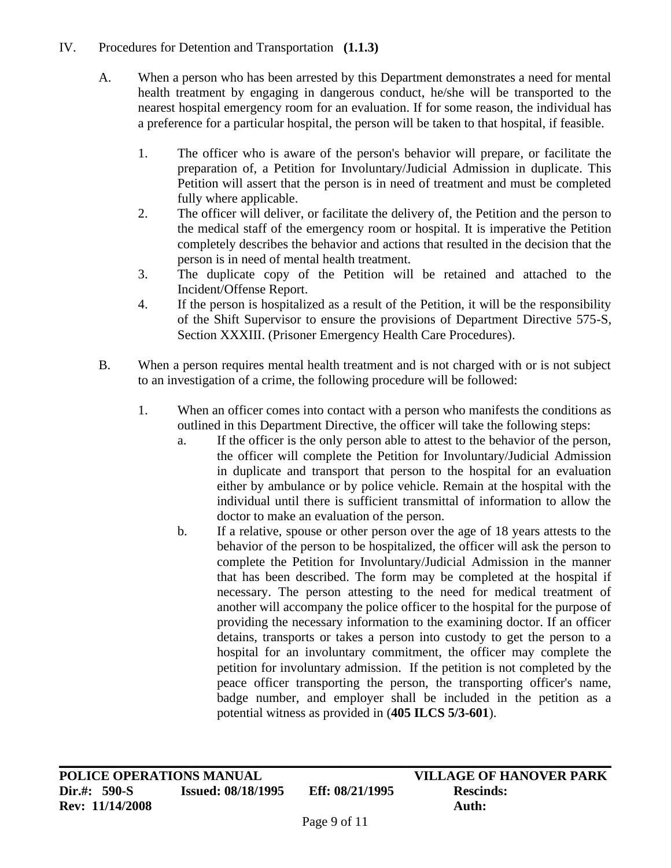### IV. Procedures for Detention and Transportation **(1.1.3)**

- A. When a person who has been arrested by this Department demonstrates a need for mental health treatment by engaging in dangerous conduct, he/she will be transported to the nearest hospital emergency room for an evaluation. If for some reason, the individual has a preference for a particular hospital, the person will be taken to that hospital, if feasible.
	- 1. The officer who is aware of the person's behavior will prepare, or facilitate the preparation of, a Petition for Involuntary/Judicial Admission in duplicate. This Petition will assert that the person is in need of treatment and must be completed fully where applicable.
	- 2. The officer will deliver, or facilitate the delivery of, the Petition and the person to the medical staff of the emergency room or hospital. It is imperative the Petition completely describes the behavior and actions that resulted in the decision that the person is in need of mental health treatment.
	- 3. The duplicate copy of the Petition will be retained and attached to the Incident/Offense Report.
	- 4. If the person is hospitalized as a result of the Petition, it will be the responsibility of the Shift Supervisor to ensure the provisions of Department Directive 575-S, Section XXXIII. (Prisoner Emergency Health Care Procedures).
- B. When a person requires mental health treatment and is not charged with or is not subject to an investigation of a crime, the following procedure will be followed:
	- 1. When an officer comes into contact with a person who manifests the conditions as outlined in this Department Directive, the officer will take the following steps:
		- a. If the officer is the only person able to attest to the behavior of the person, the officer will complete the Petition for Involuntary/Judicial Admission in duplicate and transport that person to the hospital for an evaluation either by ambulance or by police vehicle. Remain at the hospital with the individual until there is sufficient transmittal of information to allow the doctor to make an evaluation of the person.
		- b. If a relative, spouse or other person over the age of 18 years attests to the behavior of the person to be hospitalized, the officer will ask the person to complete the Petition for Involuntary/Judicial Admission in the manner that has been described. The form may be completed at the hospital if necessary. The person attesting to the need for medical treatment of another will accompany the police officer to the hospital for the purpose of providing the necessary information to the examining doctor. If an officer detains, transports or takes a person into custody to get the person to a hospital for an involuntary commitment, the officer may complete the petition for involuntary admission. If the petition is not completed by the peace officer transporting the person, the transporting officer's name, badge number, and employer shall be included in the petition as a potential witness as provided in (**405 ILCS 5/3-601**).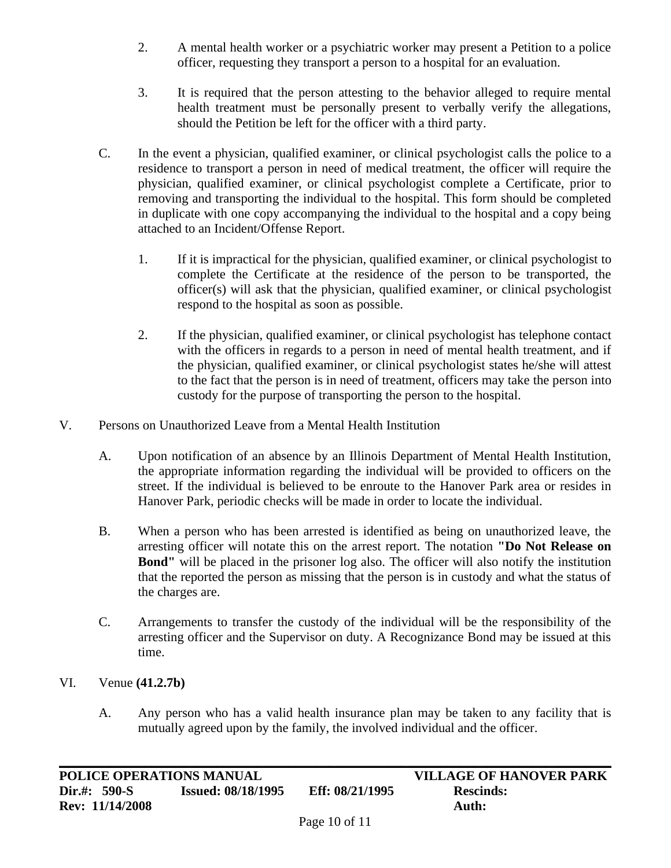- 2. A mental health worker or a psychiatric worker may present a Petition to a police officer, requesting they transport a person to a hospital for an evaluation.
- 3. It is required that the person attesting to the behavior alleged to require mental health treatment must be personally present to verbally verify the allegations, should the Petition be left for the officer with a third party.
- C. In the event a physician, qualified examiner, or clinical psychologist calls the police to a residence to transport a person in need of medical treatment, the officer will require the physician, qualified examiner, or clinical psychologist complete a Certificate, prior to removing and transporting the individual to the hospital. This form should be completed in duplicate with one copy accompanying the individual to the hospital and a copy being attached to an Incident/Offense Report.
	- 1. If it is impractical for the physician, qualified examiner, or clinical psychologist to complete the Certificate at the residence of the person to be transported, the officer(s) will ask that the physician, qualified examiner, or clinical psychologist respond to the hospital as soon as possible.
	- 2. If the physician, qualified examiner, or clinical psychologist has telephone contact with the officers in regards to a person in need of mental health treatment, and if the physician, qualified examiner, or clinical psychologist states he/she will attest to the fact that the person is in need of treatment, officers may take the person into custody for the purpose of transporting the person to the hospital.
- V. Persons on Unauthorized Leave from a Mental Health Institution
	- A. Upon notification of an absence by an Illinois Department of Mental Health Institution, the appropriate information regarding the individual will be provided to officers on the street. If the individual is believed to be enroute to the Hanover Park area or resides in Hanover Park, periodic checks will be made in order to locate the individual.
	- B. When a person who has been arrested is identified as being on unauthorized leave, the arresting officer will notate this on the arrest report. The notation **"Do Not Release on Bond"** will be placed in the prisoner log also. The officer will also notify the institution that the reported the person as missing that the person is in custody and what the status of the charges are.
	- C. Arrangements to transfer the custody of the individual will be the responsibility of the arresting officer and the Supervisor on duty. A Recognizance Bond may be issued at this time.
- VI. Venue **(41.2.7b)**
	- A. Any person who has a valid health insurance plan may be taken to any facility that is mutually agreed upon by the family, the involved individual and the officer.